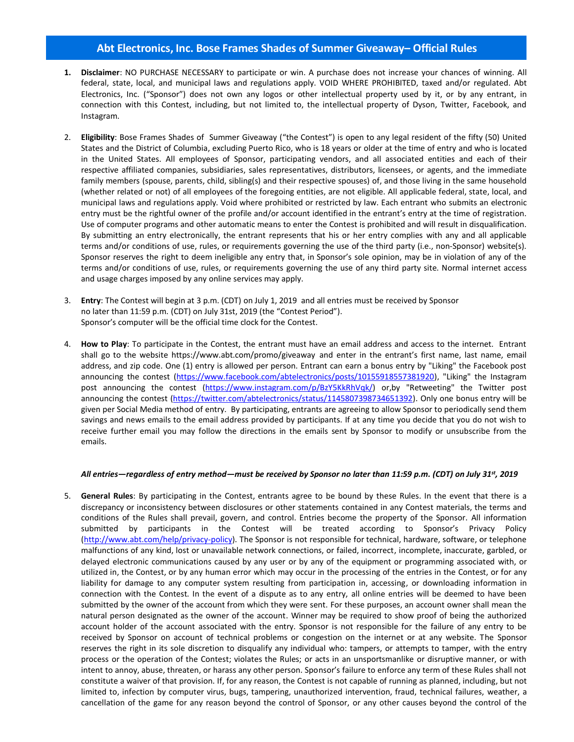## **Abt Electronics, Inc. Bose Frames Shades of Summer Giveaway– Official Rules**

- **1. Disclaimer**: NO PURCHASE NECESSARY to participate or win. A purchase does not increase your chances of winning. All federal, state, local, and municipal laws and regulations apply. VOID WHERE PROHIBITED, taxed and/or regulated. Abt Electronics, Inc. ("Sponsor") does not own any logos or other intellectual property used by it, or by any entrant, in connection with this Contest, including, but not limited to, the intellectual property of Dyson, Twitter, Facebook, and Instagram.
- 2. **Eligibility**: Bose Frames Shades of Summer Giveaway ("the Contest") is open to any legal resident of the fifty (50) United States and the District of Columbia, excluding Puerto Rico, who is 18 years or older at the time of entry and who is located in the United States. All employees of Sponsor, participating vendors, and all associated entities and each of their respective affiliated companies, subsidiaries, sales representatives, distributors, licensees, or agents, and the immediate family members (spouse, parents, child, sibling(s) and their respective spouses) of, and those living in the same household (whether related or not) of all employees of the foregoing entities, are not eligible. All applicable federal, state, local, and municipal laws and regulations apply. Void where prohibited or restricted by law. Each entrant who submits an electronic entry must be the rightful owner of the profile and/or account identified in the entrant's entry at the time of registration. Use of computer programs and other automatic means to enter the Contest is prohibited and will result in disqualification. By submitting an entry electronically, the entrant represents that his or her entry complies with any and all applicable terms and/or conditions of use, rules, or requirements governing the use of the third party (i.e., non-Sponsor) website(s). Sponsor reserves the right to deem ineligible any entry that, in Sponsor's sole opinion, may be in violation of any of the terms and/or conditions of use, rules, or requirements governing the use of any third party site. Normal internet access and usage charges imposed by any online services may apply.
- 3. **Entry**: The Contest will begin at 3 p.m. (CDT) on July 1, 2019 and all entries must be received by Sponsor no later than 11:59 p.m. (CDT) on July 31st, 2019 (the "Contest Period"). Sponsor's computer will be the official time clock for the Contest.
- 4. **How to Play**: To participate in the Contest, the entrant must have an email address and access to the internet. Entrant shall go to the website https://www.abt.com/promo/giveaway and enter in the entrant's first name, last name, email address, and zip code. One (1) entry is allowed per person. Entrant can earn a bonus entry by "Liking" the Facebook post announcing the contest [\(https://www.facebook.com/abtelectronics/posts/10155918557381920\)](https://www.facebook.com/abtelectronics/posts/10155918557381920), "Liking" the Instagram post announcing the contest [\(https://www.instagram.com/p/BzY5KkRhVqk/\)](https://www.instagram.com/p/BzY5KkRhVqk/) or,by "Retweeting" the Twitter post announcing the contest [\(https://twitter.com/abtelectronics/status/1145807398734651392\)](https://twitter.com/abtelectronics/status/1145807398734651392). Only one bonus entry will be given per Social Media method of entry. By participating, entrants are agreeing to allow Sponsor to periodically send them savings and news emails to the email address provided by participants. If at any time you decide that you do not wish to receive further email you may follow the directions in the emails sent by Sponsor to modify or unsubscribe from the emails.

## *All entries—regardless of entry method—must be received by Sponsor no later than 11:59 p.m. (CDT) on July 31st, 2019*

5. **General Rules**: By participating in the Contest, entrants agree to be bound by these Rules. In the event that there is a discrepancy or inconsistency between disclosures or other statements contained in any Contest materials, the terms and conditions of the Rules shall prevail, govern, and control. Entries become the property of the Sponsor. All information submitted by participants in the Contest will be treated according to Sponsor's Privacy Policy [\(http://www.abt.com/help/privacy-policy\)](http://www.abt.com/help/privacy-policy). The Sponsor is not responsible for technical, hardware, software, or telephone malfunctions of any kind, lost or unavailable network connections, or failed, incorrect, incomplete, inaccurate, garbled, or delayed electronic communications caused by any user or by any of the equipment or programming associated with, or utilized in, the Contest, or by any human error which may occur in the processing of the entries in the Contest, or for any liability for damage to any computer system resulting from participation in, accessing, or downloading information in connection with the Contest. In the event of a dispute as to any entry, all online entries will be deemed to have been submitted by the owner of the account from which they were sent. For these purposes, an account owner shall mean the natural person designated as the owner of the account. Winner may be required to show proof of being the authorized account holder of the account associated with the entry. Sponsor is not responsible for the failure of any entry to be received by Sponsor on account of technical problems or congestion on the internet or at any website. The Sponsor reserves the right in its sole discretion to disqualify any individual who: tampers, or attempts to tamper, with the entry process or the operation of the Contest; violates the Rules; or acts in an unsportsmanlike or disruptive manner, or with intent to annoy, abuse, threaten, or harass any other person. Sponsor's failure to enforce any term of these Rules shall not constitute a waiver of that provision. If, for any reason, the Contest is not capable of running as planned, including, but not limited to, infection by computer virus, bugs, tampering, unauthorized intervention, fraud, technical failures, weather, a cancellation of the game for any reason beyond the control of Sponsor, or any other causes beyond the control of the